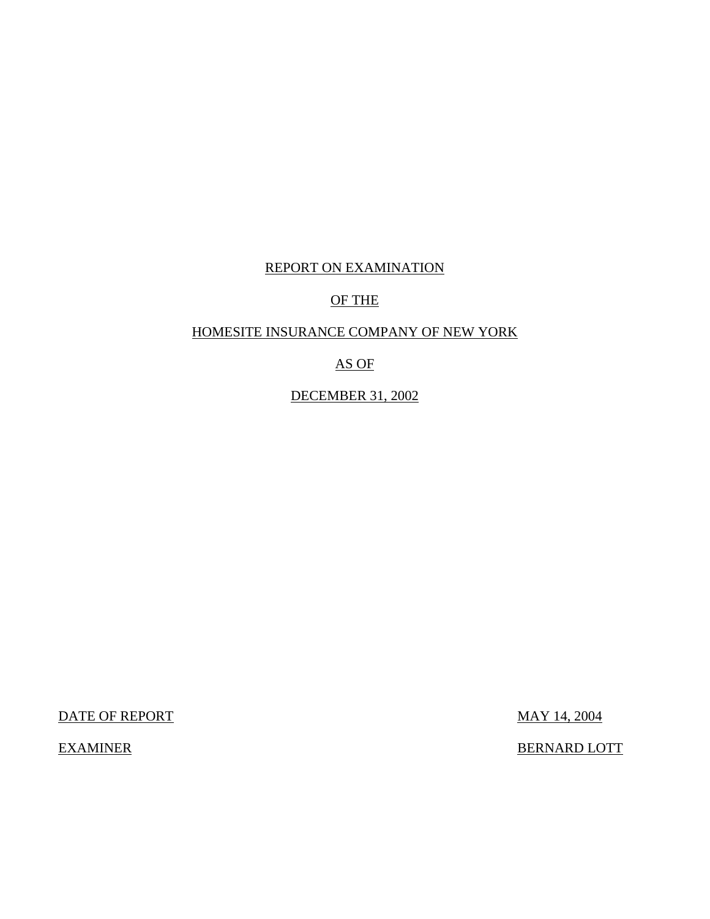### REPORT ON EXAMINATION

### OF THE

### HOMESITE INSURANCE COMPANY OF NEW YORK

### AS OF

### DECEMBER 31, 2002

DATE OF REPORT MAY 14, 2004

EXAMINER BERNARD LOTT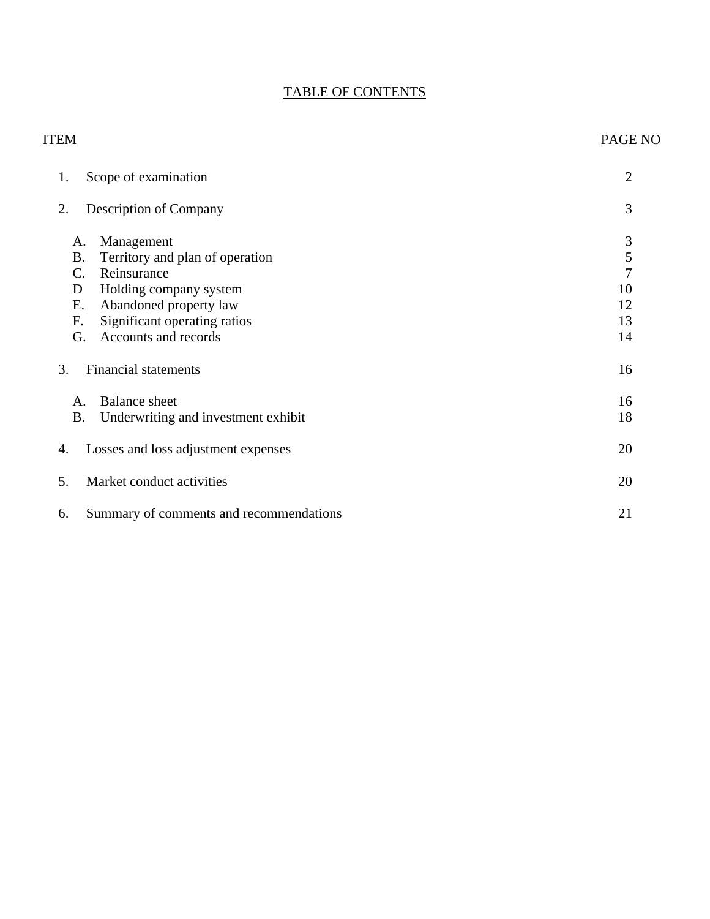### TABLE OF CONTENTS

# ITEM PAGE NO [1. Scope of examination 2](#page-3-0) [2. Description of Company 3](#page-4-0) [A. Management 3](#page-4-0)<br>B. Territory and plan of operation 5 B. Territory and plan of operation [C. Reinsurance 7](#page-8-0) [D Holding company system 10](#page-11-0) [E. Abandoned property law 12](#page-13-0) F. Significant operating ratios 13 [G. Accounts and records 14](#page-15-0) 3. Financial statements 16 A. Balance sheet 16 B. Underwriting and investment exhibit 18 [4. Losses and loss adjustment expenses 20](#page-21-0) [5. Market conduct activities 20](#page-21-0) 6. Summary of comments and recommendations 21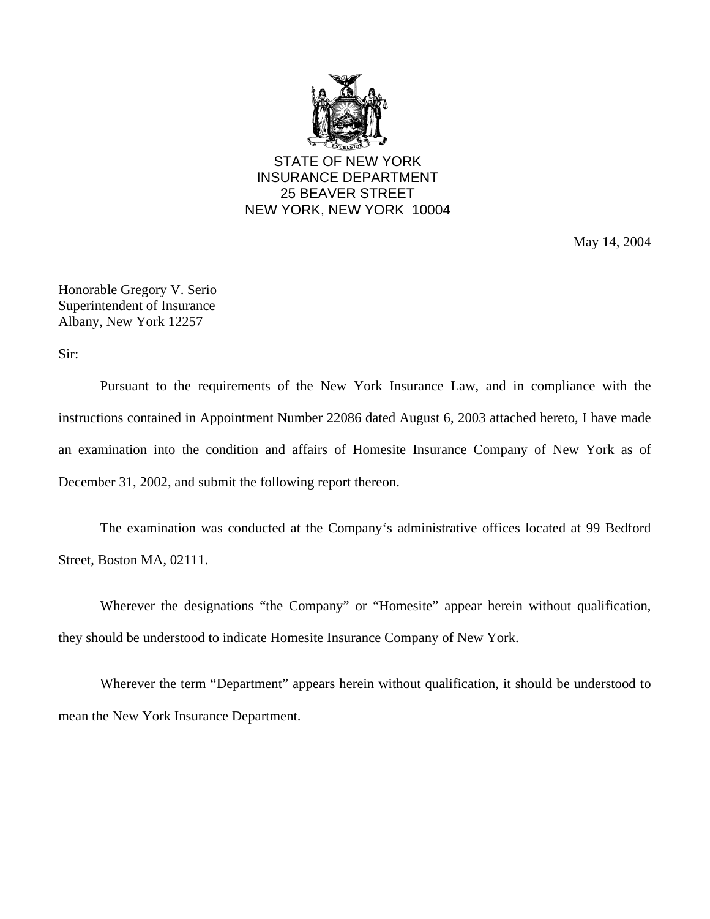

STATE OF NEW YORK INSURANCE DEPARTMENT 25 BEAVER STREET NEW YORK, NEW YORK 10004

May 14, 2004

Honorable Gregory V. Serio Superintendent of Insurance Albany, New York 12257

Sir:

Pursuant to the requirements of the New York Insurance Law, and in compliance with the instructions contained in Appointment Number 22086 dated August 6, 2003 attached hereto, I have made an examination into the condition and affairs of Homesite Insurance Company of New York as of December 31, 2002, and submit the following report thereon.

The examination was conducted at the Company's administrative offices located at 99 Bedford Street, Boston MA, 02111.

Wherever the designations "the Company" or "Homesite" appear herein without qualification, they should be understood to indicate Homesite Insurance Company of New York.

Wherever the term "Department" appears herein without qualification, it should be understood to mean the New York Insurance Department.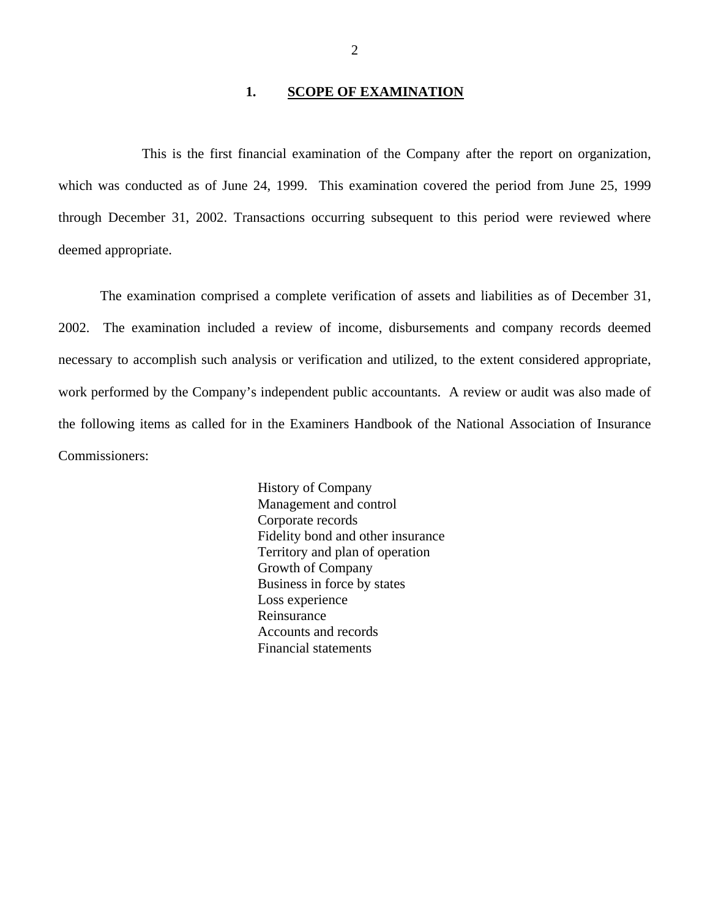#### 1. **SCOPE OF EXAMINATION**

<span id="page-3-0"></span>This is the first financial examination of the Company after the report on organization, which was conducted as of June 24, 1999. This examination covered the period from June 25, 1999 through December 31, 2002. Transactions occurring subsequent to this period were reviewed where deemed appropriate.

The examination comprised a complete verification of assets and liabilities as of December 31, 2002. The examination included a review of income, disbursements and company records deemed necessary to accomplish such analysis or verification and utilized, to the extent considered appropriate, work performed by the Company's independent public accountants. A review or audit was also made of the following items as called for in the Examiners Handbook of the National Association of Insurance Commissioners:

> History of Company Management and control Corporate records Fidelity bond and other insurance Territory and plan of operation Growth of Company Business in force by states Loss experience Reinsurance Accounts and records Financial statements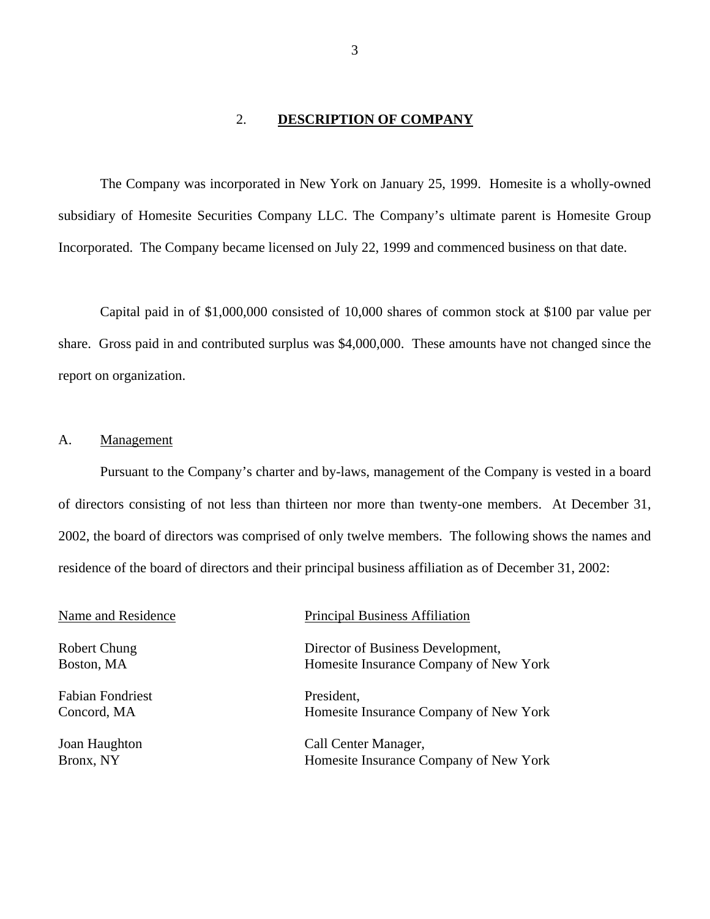### 2. **DESCRIPTION OF COMPANY**

<span id="page-4-0"></span>The Company was incorporated in New York on January 25, 1999. Homesite is a wholly-owned subsidiary of Homesite Securities Company LLC. The Company's ultimate parent is Homesite Group Incorporated. The Company became licensed on July 22, 1999 and commenced business on that date.

Capital paid in of \$1,000,000 consisted of 10,000 shares of common stock at \$100 par value per share. Gross paid in and contributed surplus was \$4,000,000. These amounts have not changed since the report on organization.

### A. Management

Pursuant to the Company's charter and by-laws, management of the Company is vested in a board of directors consisting of not less than thirteen nor more than twenty-one members. At December 31, 2002, the board of directors was comprised of only twelve members. The following shows the names and residence of the board of directors and their principal business affiliation as of December 31, 2002:

| Name and Residence         | <b>Principal Business Affiliation</b>                                       |
|----------------------------|-----------------------------------------------------------------------------|
| Robert Chung<br>Boston, MA | Director of Business Development,<br>Homesite Insurance Company of New York |
|                            |                                                                             |
| <b>Fabian Fondriest</b>    | President,                                                                  |
| Concord, MA                | Homesite Insurance Company of New York                                      |
| Joan Haughton              | Call Center Manager,                                                        |
| Bronx, NY                  | Homesite Insurance Company of New York                                      |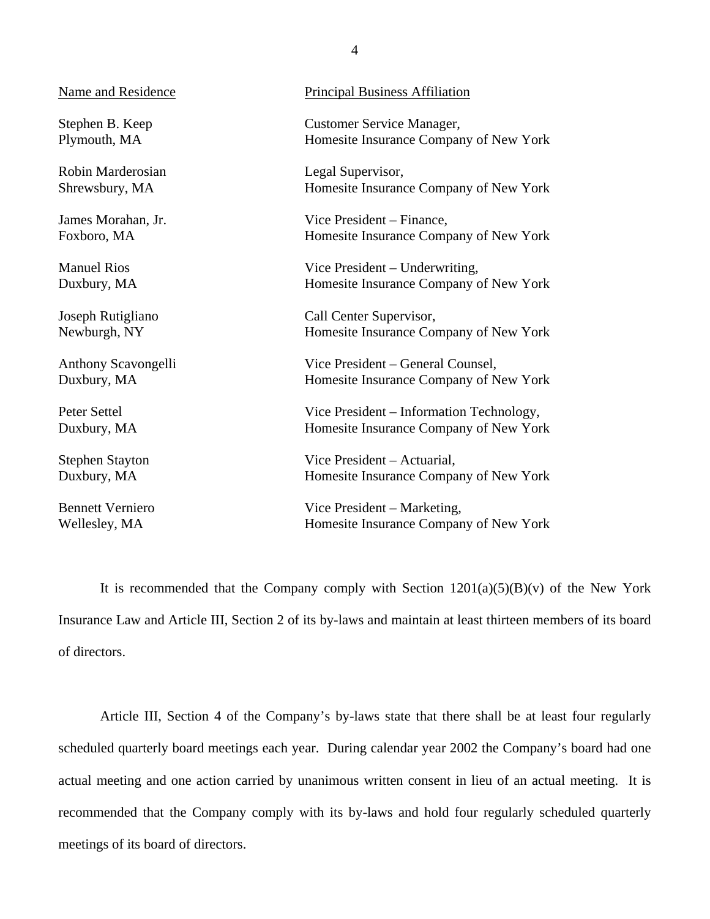Robin Marderosian Legal Supervisor,

Name and Residence Principal Business Affiliation

Stephen B. Keep Customer Service Manager, Plymouth, MA Homesite Insurance Company of New York

Shrewsbury, MA Homesite Insurance Company of New York

James Morahan, Jr. Vice President – Finance, Foxboro, MA Homesite Insurance Company of New York

Manuel Rios Vice President – Underwriting, Duxbury, MA Homesite Insurance Company of New York

Joseph Rutigliano Call Center Supervisor, Newburgh, NY Homesite Insurance Company of New York

Anthony Scavongelli Vice President – General Counsel, Duxbury, MA **Homesite Insurance Company of New York** Homesite Insurance Company of New York

Peter Settel Vice President – Information Technology, Duxbury, MA Homesite Insurance Company of New York

Stephen Stayton Vice President – Actuarial, Duxbury, MA Homesite Insurance Company of New York

Bennett Verniero Vice President – Marketing, Wellesley, MA Homesite Insurance Company of New York

It is recommended that the Company comply with Section  $1201(a)(5)(B)(v)$  of the New York Insurance Law and Article III, Section 2 of its by-laws and maintain at least thirteen members of its board of directors.

Article III, Section 4 of the Company's by-laws state that there shall be at least four regularly scheduled quarterly board meetings each year. During calendar year 2002 the Company's board had one actual meeting and one action carried by unanimous written consent in lieu of an actual meeting. It is recommended that the Company comply with its by-laws and hold four regularly scheduled quarterly meetings of its board of directors.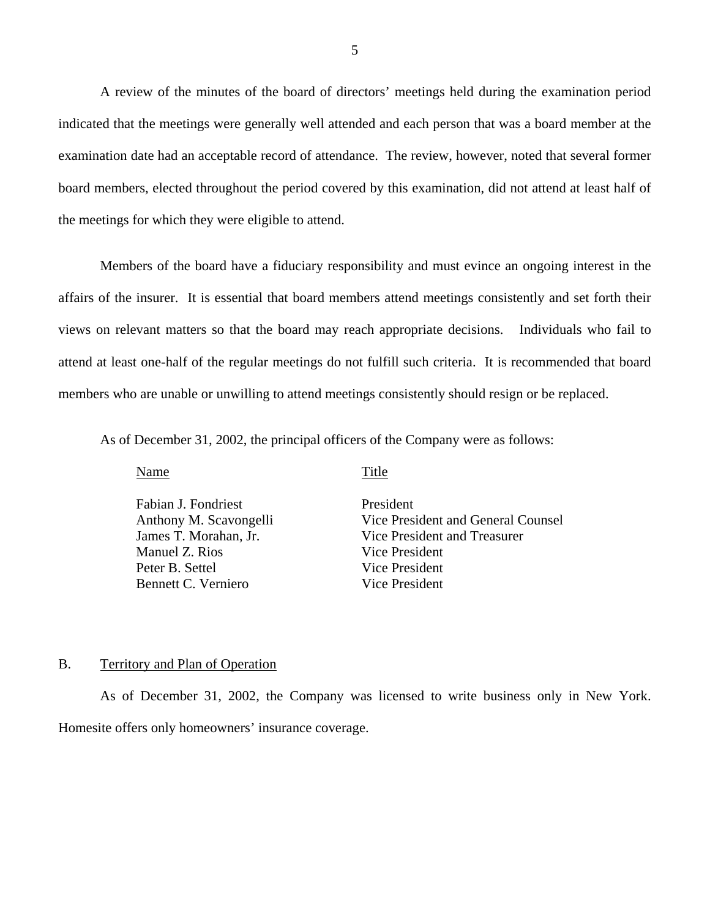<span id="page-6-0"></span>A review of the minutes of the board of directors' meetings held during the examination period indicated that the meetings were generally well attended and each person that was a board member at the examination date had an acceptable record of attendance. The review, however, noted that several former board members, elected throughout the period covered by this examination, did not attend at least half of the meetings for which they were eligible to attend.

Members of the board have a fiduciary responsibility and must evince an ongoing interest in the affairs of the insurer. It is essential that board members attend meetings consistently and set forth their views on relevant matters so that the board may reach appropriate decisions. Individuals who fail to attend at least one-half of the regular meetings do not fulfill such criteria. It is recommended that board members who are unable or unwilling to attend meetings consistently should resign or be replaced.

As of December 31, 2002, the principal officers of the Company were as follows:

Name Title

Fabian J. Fondriest President Manuel Z. Rios Vice President Peter B. Settel Vice President Bennett C. Verniero Vice President

Anthony M. Scavongelli Vice President and General Counsel James T. Morahan, Jr. Vice President and Treasurer

### B. Territory and Plan of Operation

As of December 31, 2002, the Company was licensed to write business only in New York. Homesite offers only homeowners' insurance coverage.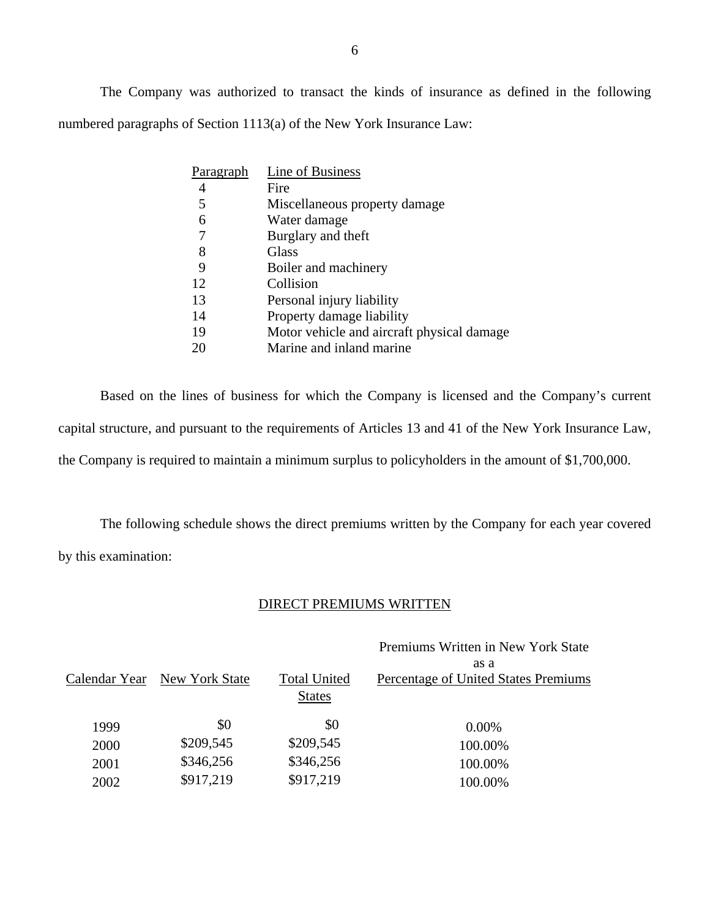The Company was authorized to transact the kinds of insurance as defined in the following numbered paragraphs of Section 1113(a) of the New York Insurance Law:

| Paragraph | Line of Business                           |
|-----------|--------------------------------------------|
|           | Fire                                       |
| 5         | Miscellaneous property damage              |
| 6         | Water damage                               |
|           | Burglary and theft                         |
| 8         | Glass                                      |
| 9         | Boiler and machinery                       |
| 12        | Collision                                  |
| 13        | Personal injury liability                  |
| 14        | Property damage liability                  |
| 19        | Motor vehicle and aircraft physical damage |
|           | Marine and inland marine                   |

Based on the lines of business for which the Company is licensed and the Company's current capital structure, and pursuant to the requirements of Articles 13 and 41 of the New York Insurance Law, the Company is required to maintain a minimum surplus to policyholders in the amount of \$1,700,000.

The following schedule shows the direct premiums written by the Company for each year covered by this examination:

### DIRECT PREMIUMS WRITTEN

|      |                              |                     | Premiums Written in New York State   |
|------|------------------------------|---------------------|--------------------------------------|
|      |                              |                     | as a                                 |
|      | Calendar Year New York State | <b>Total United</b> | Percentage of United States Premiums |
|      |                              | <b>States</b>       |                                      |
| 1999 | \$0                          | \$0                 | $0.00\%$                             |
| 2000 | \$209,545                    | \$209,545           | 100.00%                              |
| 2001 | \$346,256                    | \$346,256           | 100.00%                              |
| 2002 | \$917,219                    | \$917,219           | 100.00%                              |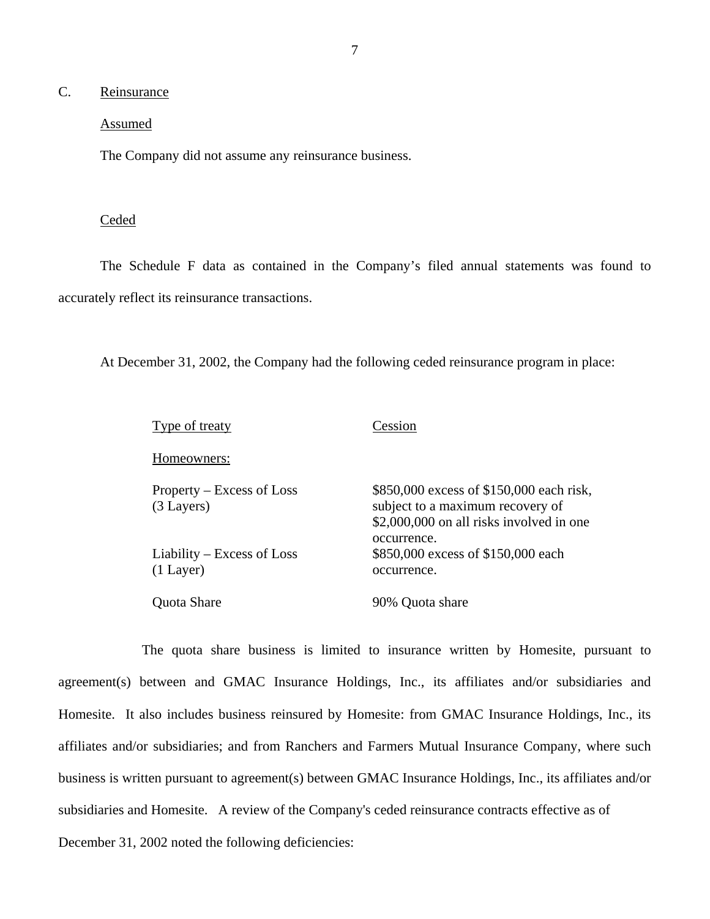### <span id="page-8-0"></span>C. Reinsurance

### Assumed

The Company did not assume any reinsurance business.

### **Ceded**

The Schedule F data as contained in the Company's filed annual statements was found to accurately reflect its reinsurance transactions.

At December 31, 2002, the Company had the following ceded reinsurance program in place:

| Type of treaty                            | Cession                                                                                                                                 |
|-------------------------------------------|-----------------------------------------------------------------------------------------------------------------------------------------|
| Homeowners:                               |                                                                                                                                         |
| Property – Excess of Loss<br>$(3$ Layers) | \$850,000 excess of \$150,000 each risk,<br>subject to a maximum recovery of<br>\$2,000,000 on all risks involved in one<br>occurrence. |
| Liability – Excess of Loss<br>$(1$ Layer) | \$850,000 excess of \$150,000 each<br>occurrence.                                                                                       |
| <b>Ouota Share</b>                        | 90% Quota share                                                                                                                         |

The quota share business is limited to insurance written by Homesite, pursuant to agreement(s) between and GMAC Insurance Holdings, Inc., its affiliates and/or subsidiaries and Homesite. It also includes business reinsured by Homesite: from GMAC Insurance Holdings, Inc., its affiliates and/or subsidiaries; and from Ranchers and Farmers Mutual Insurance Company, where such business is written pursuant to agreement(s) between GMAC Insurance Holdings, Inc., its affiliates and/or subsidiaries and Homesite. A review of the Company's ceded reinsurance contracts effective as of December 31, 2002 noted the following deficiencies: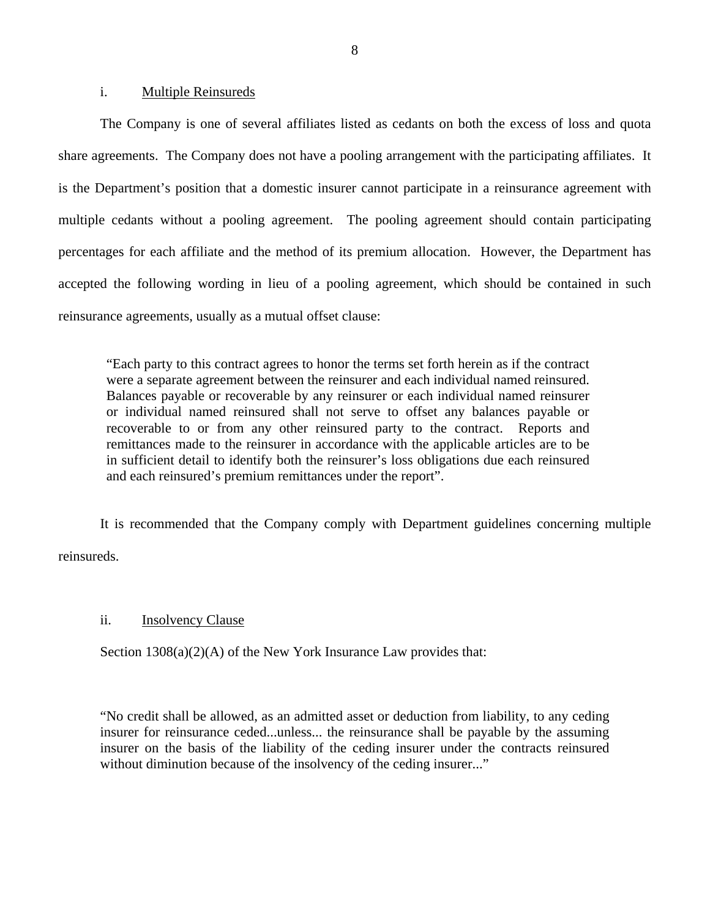#### i. Multiple Reinsureds

The Company is one of several affiliates listed as cedants on both the excess of loss and quota share agreements. The Company does not have a pooling arrangement with the participating affiliates. It is the Department's position that a domestic insurer cannot participate in a reinsurance agreement with multiple cedants without a pooling agreement. The pooling agreement should contain participating percentages for each affiliate and the method of its premium allocation. However, the Department has accepted the following wording in lieu of a pooling agreement, which should be contained in such reinsurance agreements, usually as a mutual offset clause:

"Each party to this contract agrees to honor the terms set forth herein as if the contract were a separate agreement between the reinsurer and each individual named reinsured. Balances payable or recoverable by any reinsurer or each individual named reinsurer or individual named reinsured shall not serve to offset any balances payable or recoverable to or from any other reinsured party to the contract. Reports and remittances made to the reinsurer in accordance with the applicable articles are to be in sufficient detail to identify both the reinsurer's loss obligations due each reinsured and each reinsured's premium remittances under the report".

It is recommended that the Company comply with Department guidelines concerning multiple reinsureds.

### ii. Insolvency Clause

Section  $1308(a)(2)(A)$  of the New York Insurance Law provides that:

"No credit shall be allowed, as an admitted asset or deduction from liability, to any ceding insurer for reinsurance ceded...unless... the reinsurance shall be payable by the assuming insurer on the basis of the liability of the ceding insurer under the contracts reinsured without diminution because of the insolvency of the ceding insurer..."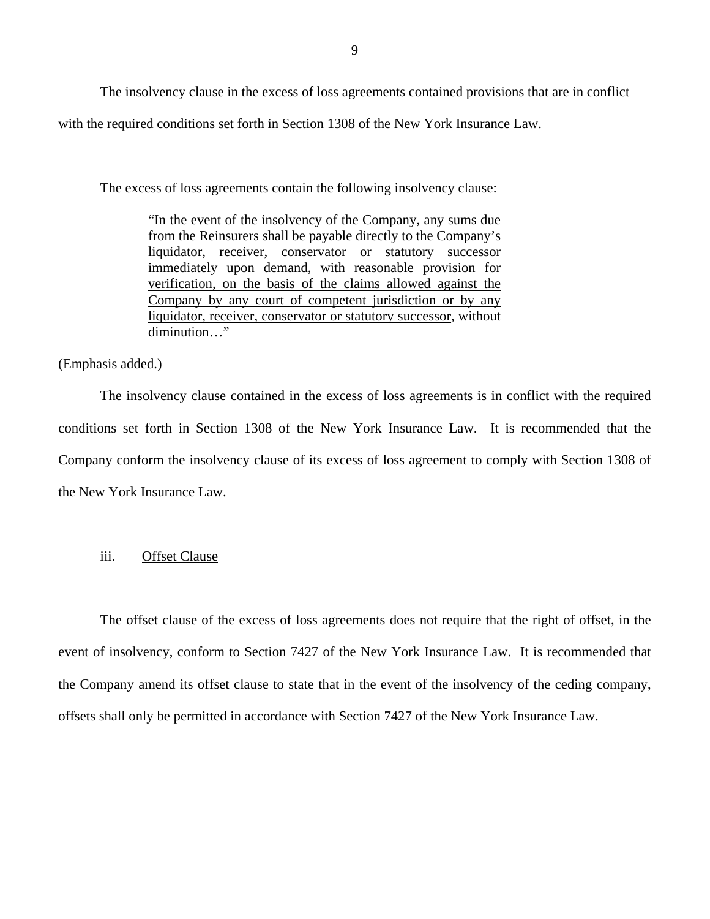The insolvency clause in the excess of loss agreements contained provisions that are in conflict with the required conditions set forth in Section 1308 of the New York Insurance Law.

The excess of loss agreements contain the following insolvency clause:

"In the event of the insolvency of the Company, any sums due from the Reinsurers shall be payable directly to the Company's liquidator, receiver, conservator or statutory successor immediately upon demand, with reasonable provision for verification, on the basis of the claims allowed against the Company by any court of competent jurisdiction or by any liquidator, receiver, conservator or statutory successor, without diminution…"

(Emphasis added.)

The insolvency clause contained in the excess of loss agreements is in conflict with the required conditions set forth in Section 1308 of the New York Insurance Law. It is recommended that the Company conform the insolvency clause of its excess of loss agreement to comply with Section 1308 of the New York Insurance Law.

### iii. Offset Clause

The offset clause of the excess of loss agreements does not require that the right of offset, in the event of insolvency, conform to Section 7427 of the New York Insurance Law. It is recommended that the Company amend its offset clause to state that in the event of the insolvency of the ceding company, offsets shall only be permitted in accordance with Section 7427 of the New York Insurance Law.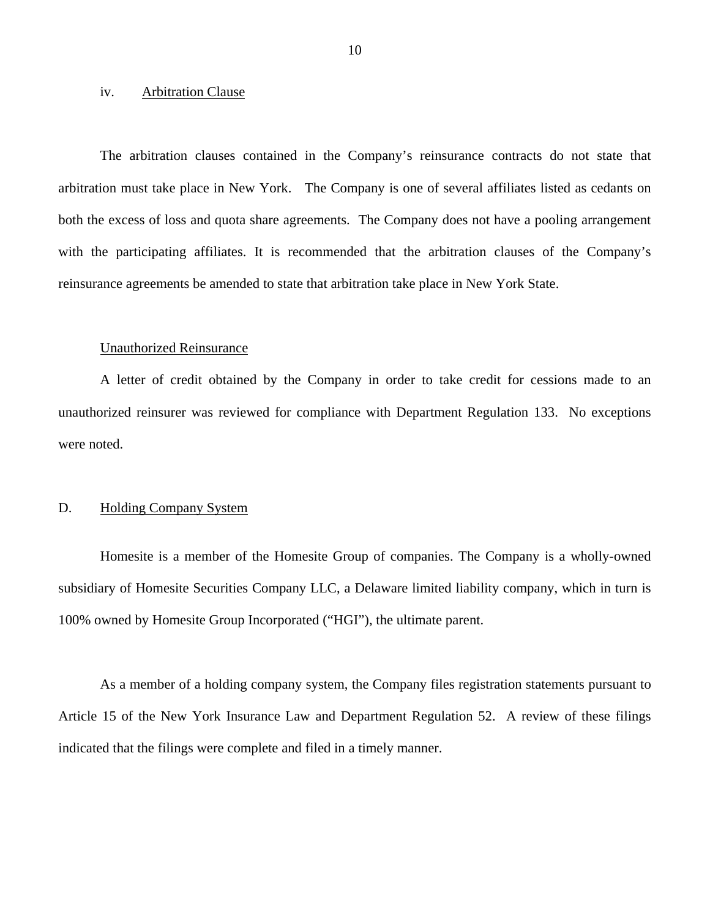#### <span id="page-11-0"></span>iv. Arbitration Clause

The arbitration clauses contained in the Company's reinsurance contracts do not state that arbitration must take place in New York. The Company is one of several affiliates listed as cedants on both the excess of loss and quota share agreements. The Company does not have a pooling arrangement with the participating affiliates. It is recommended that the arbitration clauses of the Company's reinsurance agreements be amended to state that arbitration take place in New York State.

#### Unauthorized Reinsurance

A letter of credit obtained by the Company in order to take credit for cessions made to an unauthorized reinsurer was reviewed for compliance with Department Regulation 133. No exceptions were noted.

### D. Holding Company System

Homesite is a member of the Homesite Group of companies. The Company is a wholly-owned subsidiary of Homesite Securities Company LLC, a Delaware limited liability company, which in turn is 100% owned by Homesite Group Incorporated ("HGI"), the ultimate parent.

As a member of a holding company system, the Company files registration statements pursuant to Article 15 of the New York Insurance Law and Department Regulation 52. A review of these filings indicated that the filings were complete and filed in a timely manner.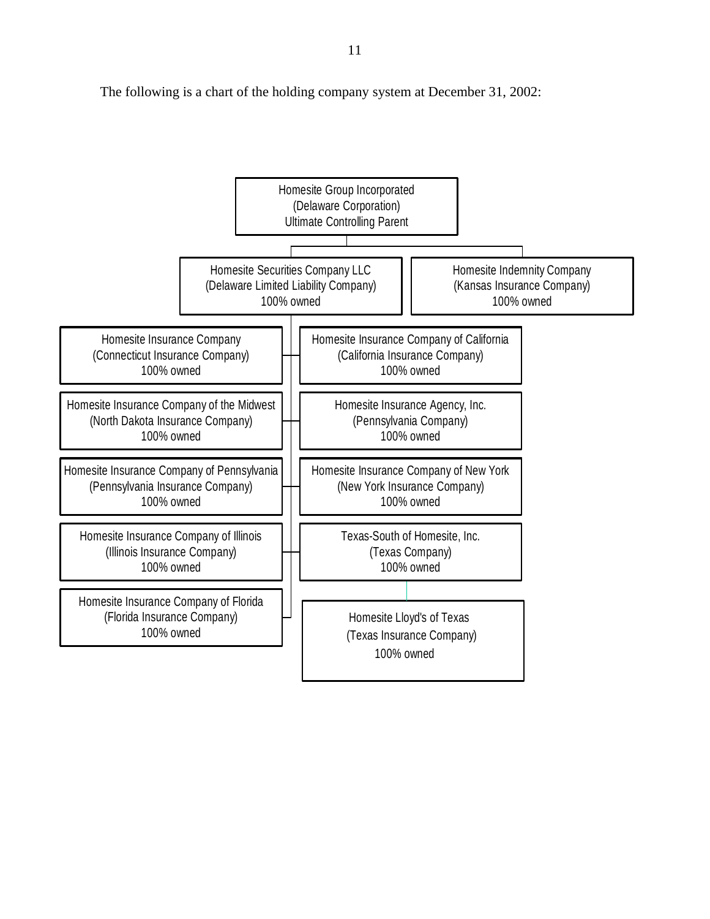The following is a chart of the holding company system at December 31, 2002:

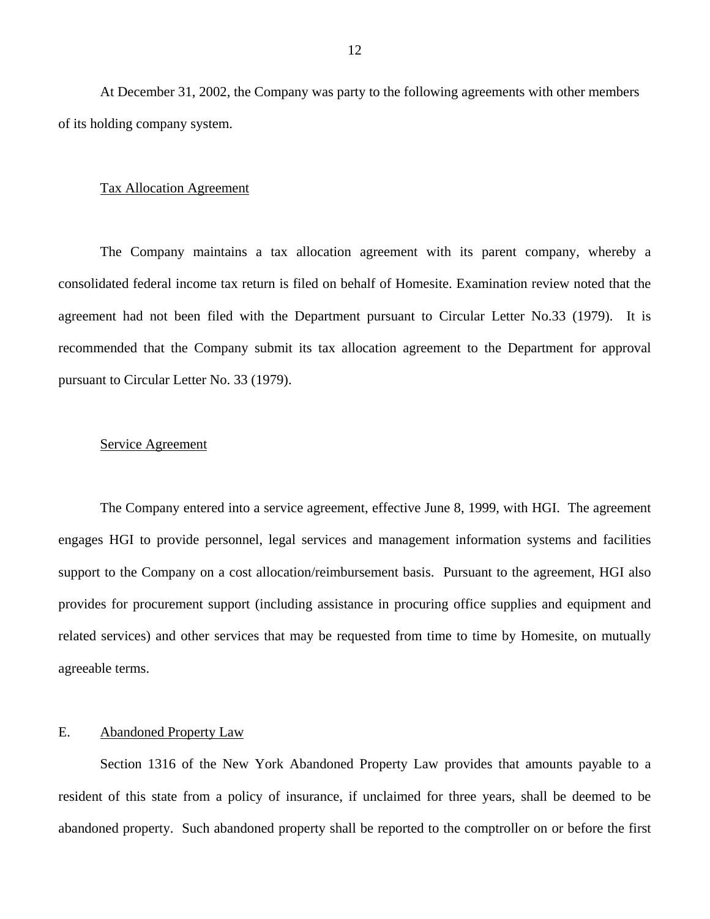<span id="page-13-0"></span>At December 31, 2002, the Company was party to the following agreements with other members of its holding company system.

#### Tax Allocation Agreement

The Company maintains a tax allocation agreement with its parent company, whereby a consolidated federal income tax return is filed on behalf of Homesite. Examination review noted that the agreement had not been filed with the Department pursuant to Circular Letter No.33 (1979). It is recommended that the Company submit its tax allocation agreement to the Department for approval pursuant to Circular Letter No. 33 (1979).

#### Service Agreement

The Company entered into a service agreement, effective June 8, 1999, with HGI. The agreement engages HGI to provide personnel, legal services and management information systems and facilities support to the Company on a cost allocation/reimbursement basis. Pursuant to the agreement, HGI also provides for procurement support (including assistance in procuring office supplies and equipment and related services) and other services that may be requested from time to time by Homesite, on mutually agreeable terms.

### E. Abandoned Property Law

Section 1316 of the New York Abandoned Property Law provides that amounts payable to a resident of this state from a policy of insurance, if unclaimed for three years, shall be deemed to be abandoned property. Such abandoned property shall be reported to the comptroller on or before the first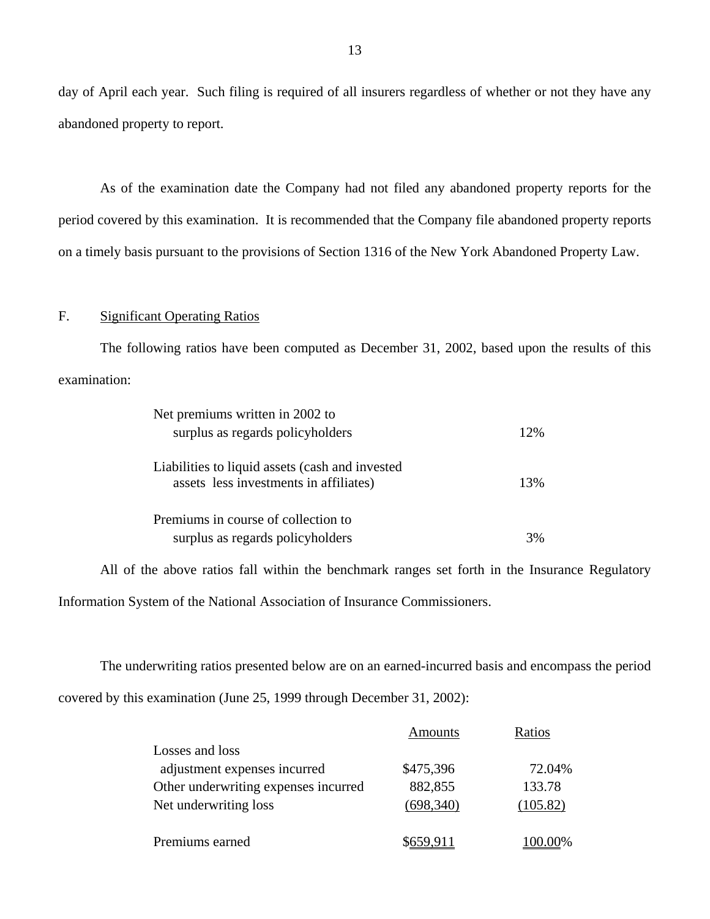day of April each year. Such filing is required of all insurers regardless of whether or not they have any abandoned property to report.

As of the examination date the Company had not filed any abandoned property reports for the period covered by this examination. It is recommended that the Company file abandoned property reports on a timely basis pursuant to the provisions of Section 1316 of the New York Abandoned Property Law.

### F. Significant Operating Ratios

The following ratios have been computed as December 31, 2002, based upon the results of this examination:

| Net premiums written in 2002 to                 |     |
|-------------------------------------------------|-----|
| surplus as regards policyholders                | 12% |
|                                                 |     |
| Liabilities to liquid assets (cash and invested |     |
| assets less investments in affiliates)          | 13% |
|                                                 |     |
| Premiums in course of collection to             |     |
| surplus as regards policyholders                |     |

All of the above ratios fall within the benchmark ranges set forth in the Insurance Regulatory Information System of the National Association of Insurance Commissioners.

The underwriting ratios presented below are on an earned-incurred basis and encompass the period covered by this examination (June 25, 1999 through December 31, 2002):

|                                      | Amounts   | Ratios   |
|--------------------------------------|-----------|----------|
| Losses and loss                      |           |          |
| adjustment expenses incurred         | \$475,396 | 72.04%   |
| Other underwriting expenses incurred | 882,855   | 133.78   |
| Net underwriting loss                | (698,340) | (105.82) |
|                                      |           |          |
| Premiums earned                      |           |          |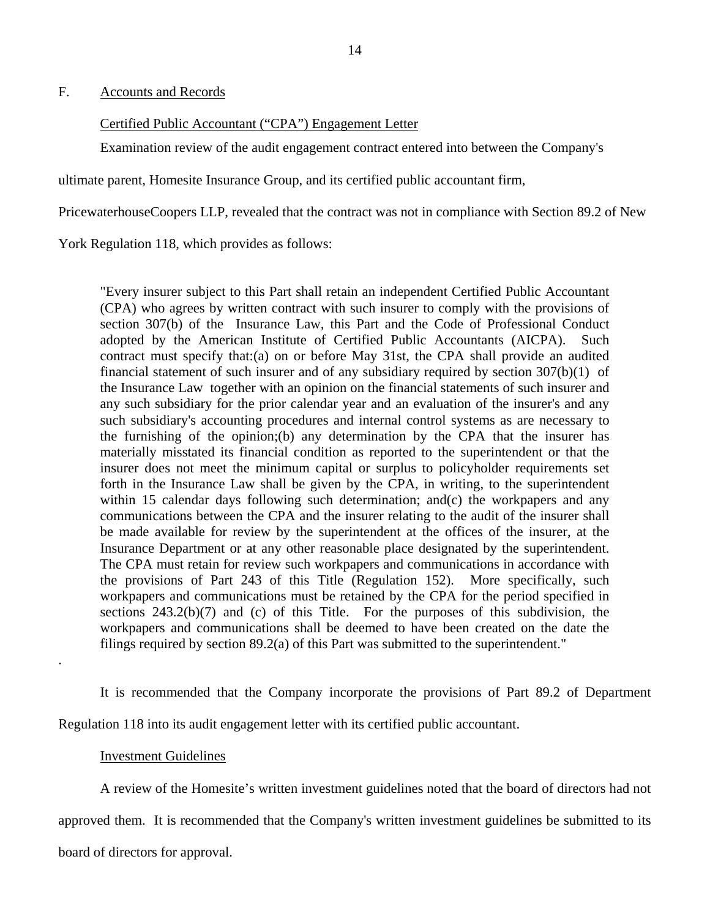<span id="page-15-0"></span>F. Accounts and Records

### Certified Public Accountant ("CPA") Engagement Letter

Examination review of the audit engagement contract entered into between the Company's

ultimate parent, Homesite Insurance Group, and its certified public accountant firm,

PricewaterhouseCoopers LLP, revealed that the contract was not in compliance with Section 89.2 of New

York Regulation 118, which provides as follows:

"Every insurer subject to this Part shall retain an independent Certified Public Accountant (CPA) who agrees by written contract with such insurer to comply with the provisions of section 307(b) of the Insurance Law, this Part and the Code of Professional Conduct adopted by the American Institute of Certified Public Accountants (AICPA). Such contract must specify that:(a) on or before May 31st, the CPA shall provide an audited financial statement of such insurer and of any subsidiary required by section 307(b)(1) of the Insurance Law together with an opinion on the financial statements of such insurer and any such subsidiary for the prior calendar year and an evaluation of the insurer's and any such subsidiary's accounting procedures and internal control systems as are necessary to the furnishing of the opinion;(b) any determination by the CPA that the insurer has materially misstated its financial condition as reported to the superintendent or that the insurer does not meet the minimum capital or surplus to policyholder requirements set forth in the Insurance Law shall be given by the CPA, in writing, to the superintendent within 15 calendar days following such determination; and (c) the workpapers and any communications between the CPA and the insurer relating to the audit of the insurer shall be made available for review by the superintendent at the offices of the insurer, at the Insurance Department or at any other reasonable place designated by the superintendent. The CPA must retain for review such workpapers and communications in accordance with the provisions of Part 243 of this Title (Regulation 152). More specifically, such workpapers and communications must be retained by the CPA for the period specified in sections 243.2(b)(7) and (c) of this Title. For the purposes of this subdivision, the workpapers and communications shall be deemed to have been created on the date the filings required by section 89.2(a) of this Part was submitted to the superintendent."

It is recommended that the Company incorporate the provisions of Part 89.2 of Department Regulation 118 into its audit engagement letter with its certified public accountant.

#### Investment Guidelines

.

A review of the Homesite's written investment guidelines noted that the board of directors had not

approved them. It is recommended that the Company's written investment guidelines be submitted to its

board of directors for approval.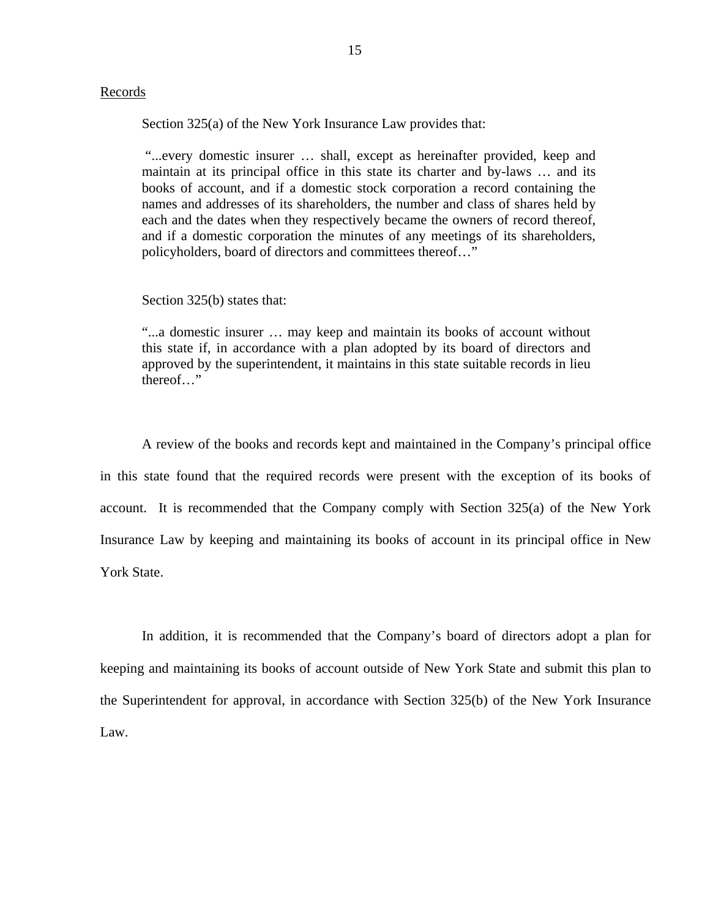### Records

Section 325(a) of the New York Insurance Law provides that:

"...every domestic insurer … shall, except as hereinafter provided, keep and maintain at its principal office in this state its charter and by-laws … and its books of account, and if a domestic stock corporation a record containing the names and addresses of its shareholders, the number and class of shares held by each and the dates when they respectively became the owners of record thereof, and if a domestic corporation the minutes of any meetings of its shareholders, policyholders, board of directors and committees thereof…"

Section 325(b) states that:

"...a domestic insurer … may keep and maintain its books of account without this state if, in accordance with a plan adopted by its board of directors and approved by the superintendent, it maintains in this state suitable records in lieu thereof…"

A review of the books and records kept and maintained in the Company's principal office in this state found that the required records were present with the exception of its books of account. It is recommended that the Company comply with Section 325(a) of the New York Insurance Law by keeping and maintaining its books of account in its principal office in New York State.

In addition, it is recommended that the Company's board of directors adopt a plan for keeping and maintaining its books of account outside of New York State and submit this plan to the Superintendent for approval, in accordance with Section 325(b) of the New York Insurance Law.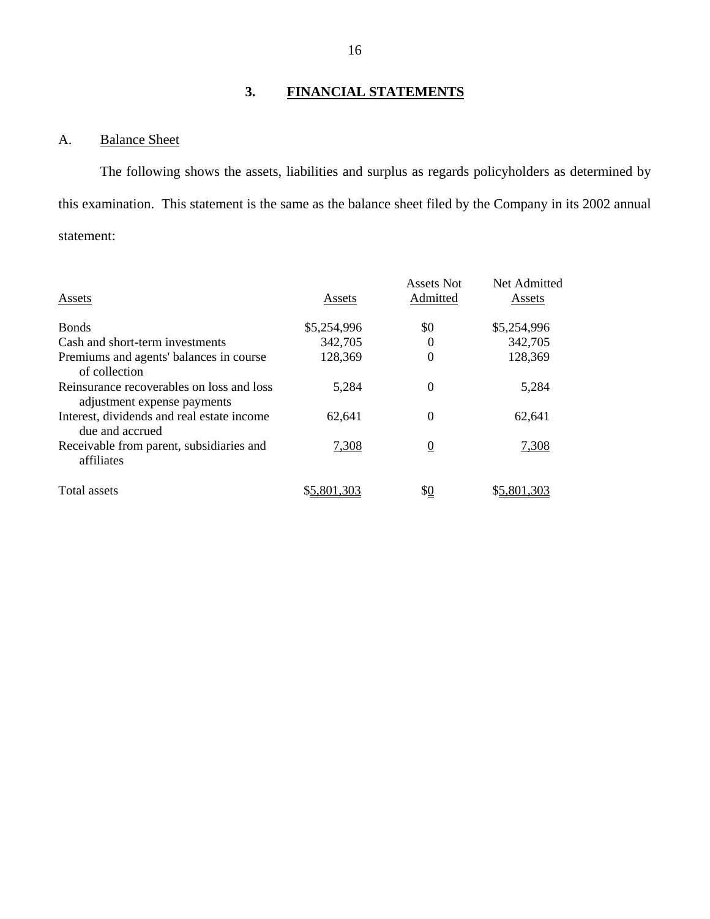### **3. FINANCIAL STATEMENTS**

### A. Balance Sheet

The following shows the assets, liabilities and surplus as regards policyholders as determined by this examination. This statement is the same as the balance sheet filed by the Company in its 2002 annual statement:

| Assets                                                                   | Assets      | Assets Not<br>Admitted | Net Admitted<br>Assets |
|--------------------------------------------------------------------------|-------------|------------------------|------------------------|
| <b>Bonds</b>                                                             | \$5,254,996 | \$0                    | \$5,254,996            |
| Cash and short-term investments                                          | 342,705     | $\theta$               | 342,705                |
| Premiums and agents' balances in course<br>of collection                 | 128,369     | $\theta$               | 128,369                |
| Reinsurance recoverables on loss and loss<br>adjustment expense payments | 5,284       | $\theta$               | 5,284                  |
| Interest, dividends and real estate income<br>due and accrued            | 62,641      | $\theta$               | 62,641                 |
| Receivable from parent, subsidiaries and<br>affiliates                   | 7,308       | $\boldsymbol{0}$       | 7,308                  |
| Total assets                                                             | \$5,801,303 | \$ <u>0</u>            | \$5,801,303            |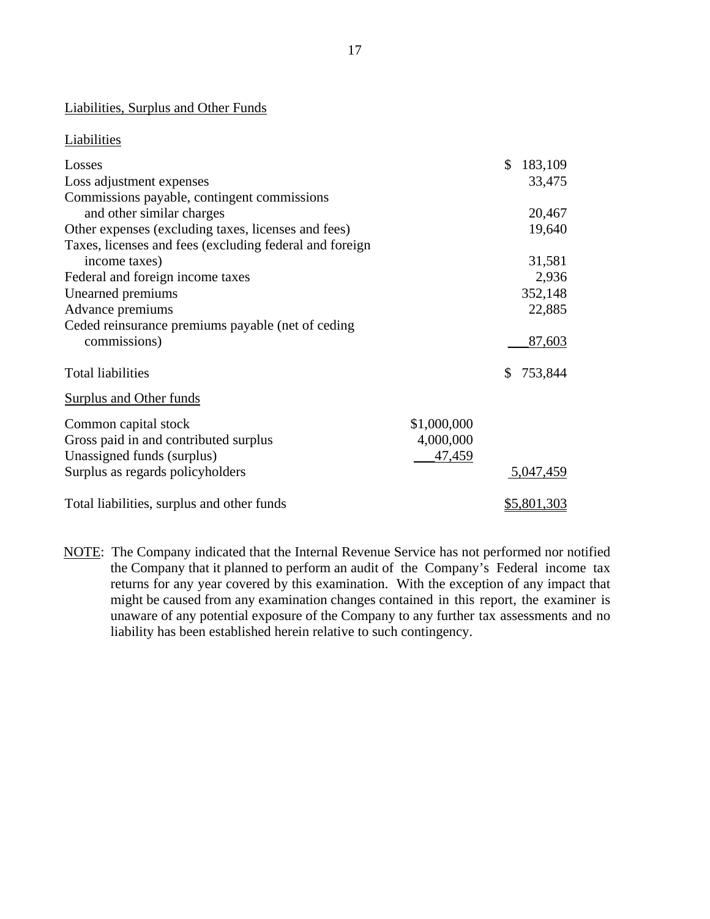### Liabilities, Surplus and Other Funds

### **Liabilities**

| Losses                                                  |             | \$<br>183,109 |
|---------------------------------------------------------|-------------|---------------|
| Loss adjustment expenses                                |             | 33,475        |
| Commissions payable, contingent commissions             |             |               |
| and other similar charges                               |             | 20,467        |
| Other expenses (excluding taxes, licenses and fees)     |             | 19,640        |
| Taxes, licenses and fees (excluding federal and foreign |             |               |
| income taxes)                                           |             | 31,581        |
| Federal and foreign income taxes                        |             | 2,936         |
| Unearned premiums                                       |             | 352,148       |
| Advance premiums                                        |             | 22,885        |
| Ceded reinsurance premiums payable (net of ceding       |             |               |
| commissions)                                            |             | 87,603        |
| <b>Total liabilities</b>                                |             | \$<br>753,844 |
| Surplus and Other funds                                 |             |               |
| Common capital stock                                    | \$1,000,000 |               |
| Gross paid in and contributed surplus                   | 4,000,000   |               |
| Unassigned funds (surplus)                              | 47,459      |               |
| Surplus as regards policyholders                        |             | 5,047,459     |
|                                                         |             |               |
| Total liabilities, surplus and other funds              |             | \$5,801,303   |

NOTE: The Company indicated that the Internal Revenue Service has not performed nor notified the Company that it planned to perform an audit of the Company's Federal income tax returns for any year covered by this examination. With the exception of any impact that might be caused from any examination changes contained in this report, the examiner is unaware of any potential exposure of the Company to any further tax assessments and no liability has been established herein relative to such contingency.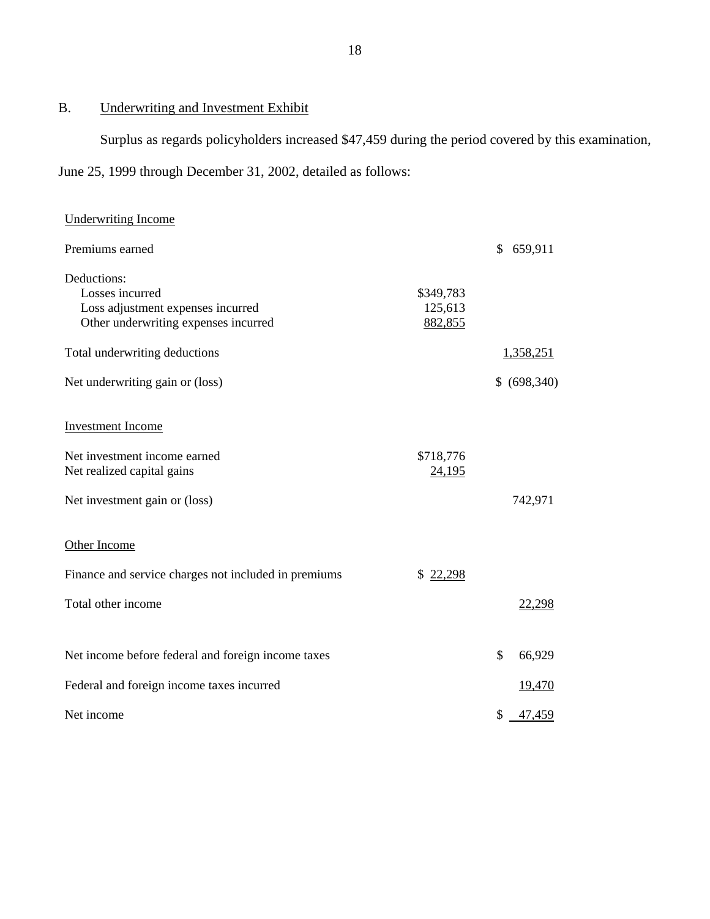### B. Underwriting and Investment Exhibit

Surplus as regards policyholders increased \$47,459 during the period covered by this examination,

June 25, 1999 through December 31, 2002, detailed as follows:

| <b>Underwriting Income</b>                           |           |               |
|------------------------------------------------------|-----------|---------------|
| Premiums earned                                      |           | \$<br>659,911 |
| Deductions:<br>Losses incurred                       | \$349,783 |               |
| Loss adjustment expenses incurred                    | 125,613   |               |
| Other underwriting expenses incurred                 | 882,855   |               |
| Total underwriting deductions                        |           | 1,358,251     |
| Net underwriting gain or (loss)                      |           | \$ (698,340)  |
| <b>Investment Income</b>                             |           |               |
|                                                      |           |               |
| Net investment income earned                         | \$718,776 |               |
| Net realized capital gains                           | 24,195    |               |
| Net investment gain or (loss)                        |           | 742,971       |
| Other Income                                         |           |               |
|                                                      |           |               |
| Finance and service charges not included in premiums | \$22,298  |               |
| Total other income                                   |           | 22,298        |
|                                                      |           |               |
| Net income before federal and foreign income taxes   |           | \$<br>66,929  |
| Federal and foreign income taxes incurred            |           | <u>19,470</u> |
| Net income                                           |           | \$<br>47,459  |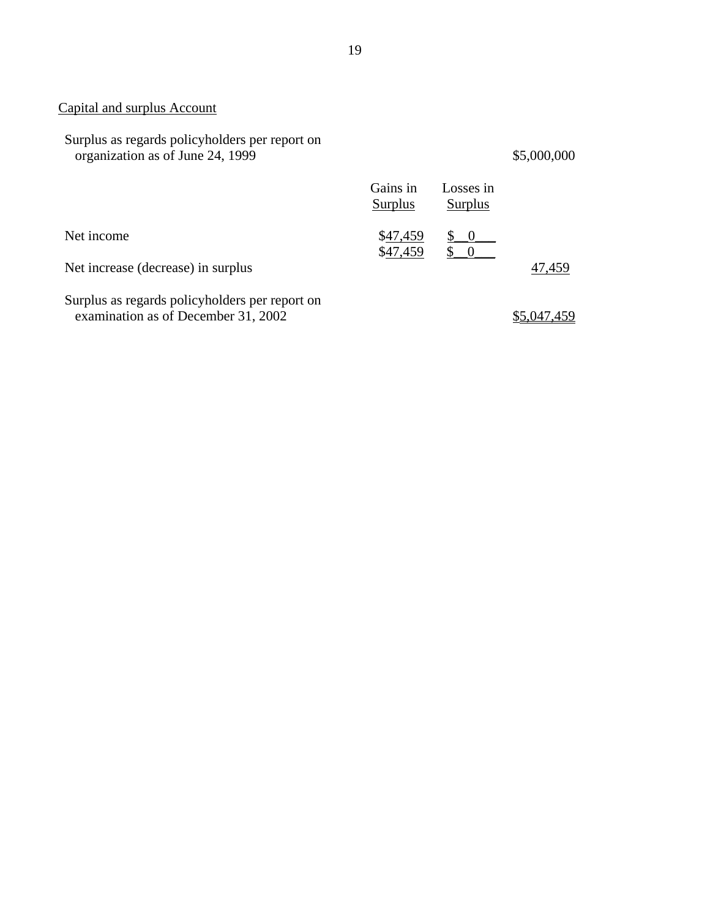### Capital and surplus Account

| Surplus as regards policyholders per report on<br>organization as of June 24, 1999    |                      |                                 | \$5,000,000 |
|---------------------------------------------------------------------------------------|----------------------|---------------------------------|-------------|
|                                                                                       | Gains in<br>Surplus  | Losses in<br>Surplus            |             |
| Net income                                                                            | \$47,459<br>\$47,459 | $\begin{matrix} 0 \end{matrix}$ |             |
| Net increase (decrease) in surplus                                                    |                      |                                 | 47,459      |
| Surplus as regards policyholders per report on<br>examination as of December 31, 2002 |                      |                                 |             |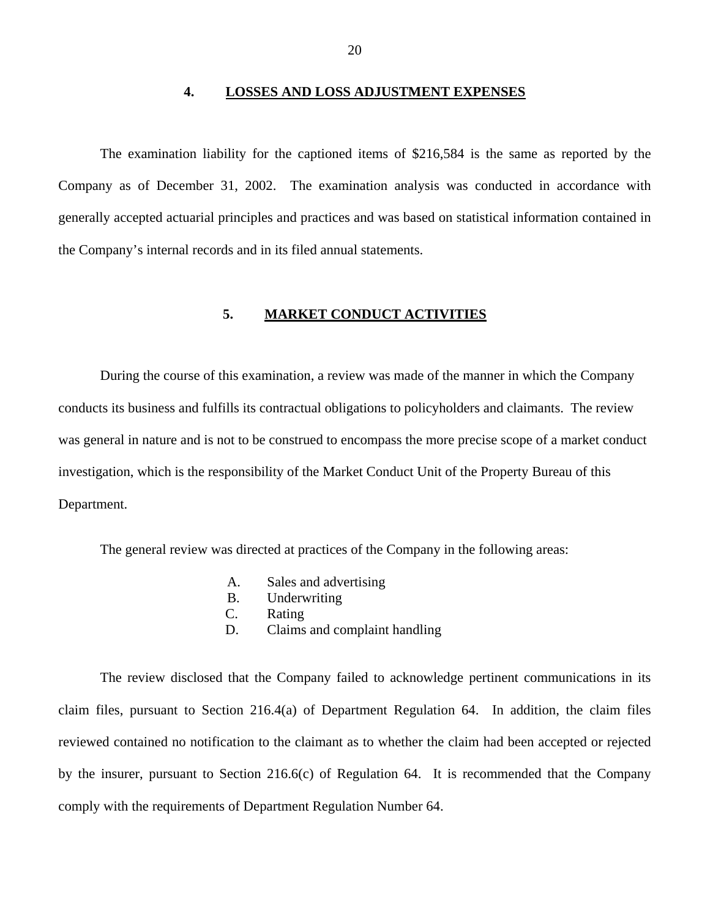#### **4. LOSSES AND LOSS ADJUSTMENT EXPENSES**

<span id="page-21-0"></span>The examination liability for the captioned items of \$216,584 is the same as reported by the Company as of December 31, 2002. The examination analysis was conducted in accordance with generally accepted actuarial principles and practices and was based on statistical information contained in the Company's internal records and in its filed annual statements.

### **5. MARKET CONDUCT ACTIVITIES**

During the course of this examination, a review was made of the manner in which the Company conducts its business and fulfills its contractual obligations to policyholders and claimants. The review was general in nature and is not to be construed to encompass the more precise scope of a market conduct investigation, which is the responsibility of the Market Conduct Unit of the Property Bureau of this Department.

The general review was directed at practices of the Company in the following areas:

- A. Sales and advertising
- B. Underwriting
- C. Rating
- D. Claims and complaint handling

The review disclosed that the Company failed to acknowledge pertinent communications in its claim files, pursuant to Section 216.4(a) of Department Regulation 64. In addition, the claim files reviewed contained no notification to the claimant as to whether the claim had been accepted or rejected by the insurer, pursuant to Section 216.6(c) of Regulation 64. It is recommended that the Company comply with the requirements of Department Regulation Number 64.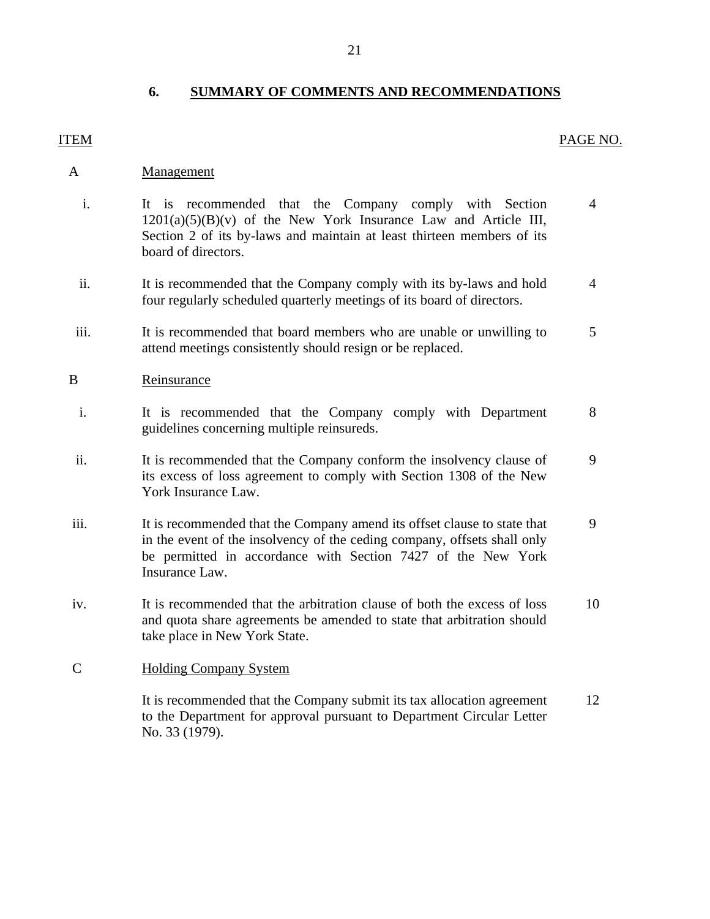### **6. SUMMARY OF COMMENTS AND RECOMMENDATIONS**

### ITEM PAGE NO.

### A Management

- i. It is recommended that the Company comply with Section  $1201(a)(5)(B)(v)$  of the New York Insurance Law and Article III, Section 2 of its by-laws and maintain at least thirteen members of its board of directors. 4
- ii. It is recommended that the Company comply with its by-laws and hold four regularly scheduled quarterly meetings of its board of directors. 4
- iii. It is recommended that board members who are unable or unwilling to attend meetings consistently should resign or be replaced. 5

### B Reinsurance

- i. It is recommended that the Company comply with Department guidelines concerning multiple reinsureds. 8
- ii. It is recommended that the Company conform the insolvency clause of its excess of loss agreement to comply with Section 1308 of the New York Insurance Law. 9
- iii. It is recommended that the Company amend its offset clause to state that in the event of the insolvency of the ceding company, offsets shall only be permitted in accordance with Section 7427 of the New York Insurance Law. 9
- iv. It is recommended that the arbitration clause of both the excess of loss and quota share agreements be amended to state that arbitration should take place in New York State. 10

### C Holding Company System

It is recommended that the Company submit its tax allocation agreement to the Department for approval pursuant to Department Circular Letter No. 33 (1979). 12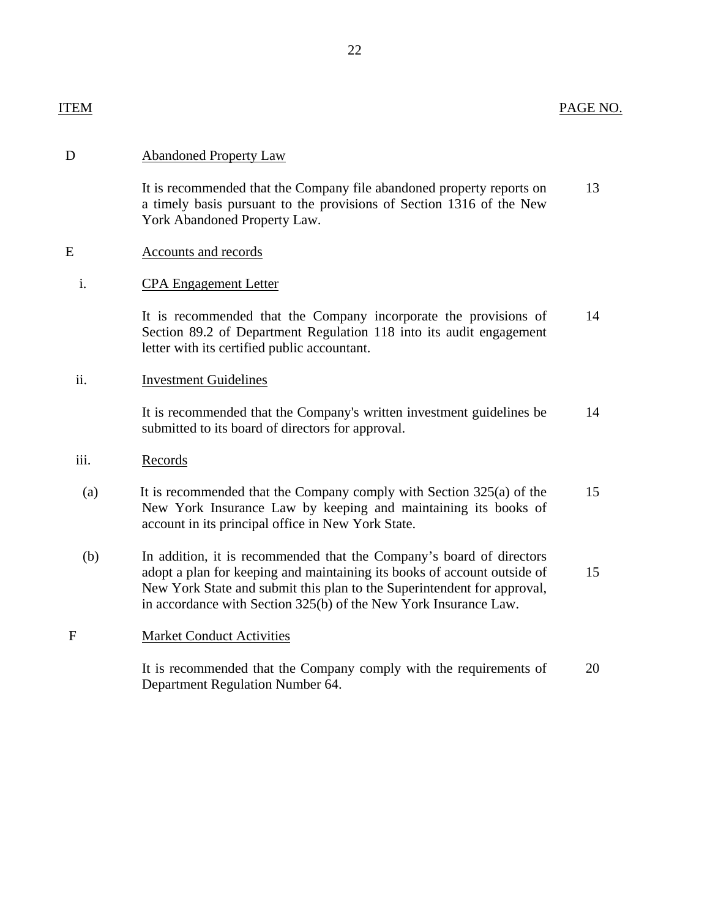| ITEM | PAGE NO. |
|------|----------|
|      |          |

### D Abandoned Property Law

It is recommended that the Company file abandoned property reports on 13 a timely basis pursuant to the provisions of Section 1316 of the New York Abandoned Property Law.

### E Accounts and records

### i. CPA Engagement Letter

It is recommended that the Company incorporate the provisions of 14 Section 89.2 of Department Regulation 118 into its audit engagement letter with its certified public accountant.

### ii. Investment Guidelines

It is recommended that the Company's written investment guidelines be 14 submitted to its board of directors for approval.

#### iii. Records

- (a) It is recommended that the Company comply with Section 325(a) of the 15 New York Insurance Law by keeping and maintaining its books of account in its principal office in New York State.
- (b) In addition, it is recommended that the Company's board of directors adopt a plan for keeping and maintaining its books of account outside of 15 New York State and submit this plan to the Superintendent for approval, in accordance with Section 325(b) of the New York Insurance Law.

### F Market Conduct Activities

It is recommended that the Company comply with the requirements of 20 Department Regulation Number 64.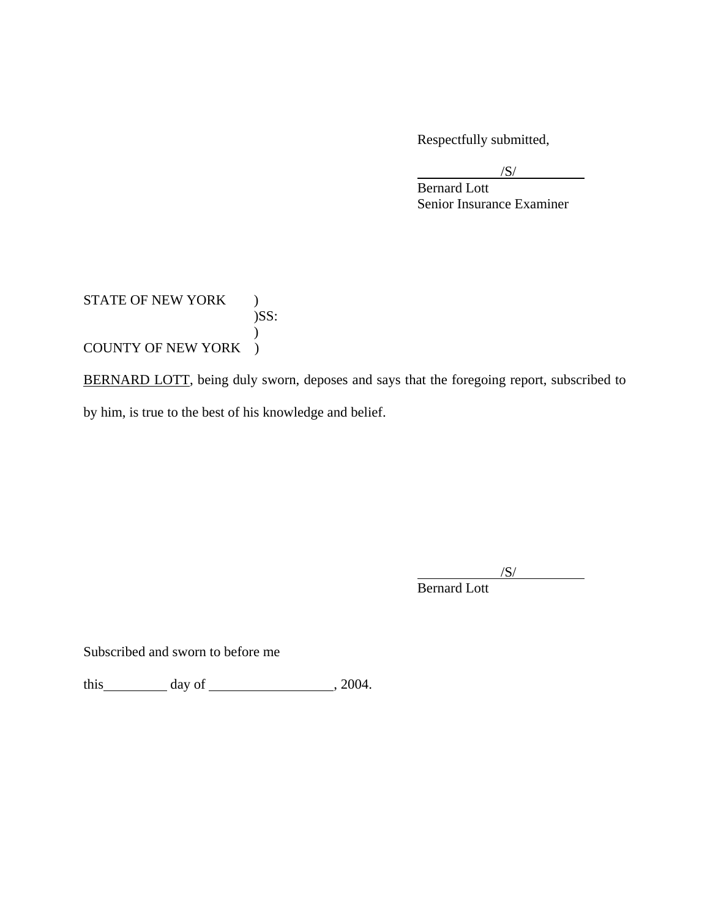Respectfully submitted,

 $\sqrt{S}$ /

 Bernard Lott Senior Insurance Examiner

### STATE OF NEW YORK )  $)$ SS:  $\mathcal{L}$ COUNTY OF NEW YORK )

BERNARD LOTT, being duly sworn, deposes and says that the foregoing report, subscribed to by him, is true to the best of his knowledge and belief.

/S/

Bernard Lott

Subscribed and sworn to before me

this  $\qquad \qquad$  day of  $\qquad \qquad$  , 2004.